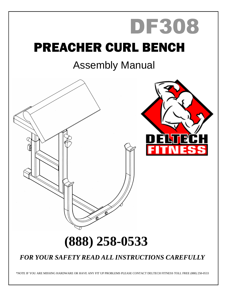# PREACHER CURL BENCH DF308

## Assembly Manual



### *FOR YOUR SAFETY READ ALL INSTRUCTIONS CAREFULLY*

\*NOTE IF YOU ARE MISSING HARDWARE OR HAVE ANY FIT UP PROBLEMS PLEASE CONTACT DELTECH FITNESS TOLL FREE (888) 258-0533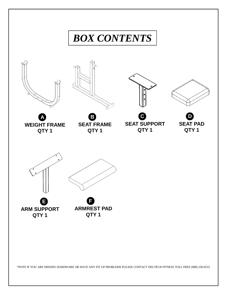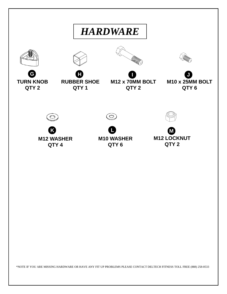

\*NOTE IF YOU ARE MISSING HARDWARE OR HAVE ANY FIT UP PROBLEMS PLEASE CONTACT DELTECH FITNESS TOLL FREE (888) 258-0533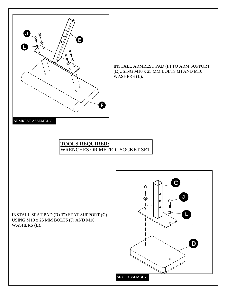

INSTALL ARMREST PAD (**F**) TO ARM SUPPORT (**E**)USING M10 x 25 MM BOLTS (**J**) AND M10 WASHERS (**L**).

#### **TOOLS REQUIRED:** WRENCHES OR METRIC SOCKET SET

INSTALL SEAT PAD (**D**) TO SEAT SUPPORT (**C**) USING M10 x 25 MM BOLTS (**J**) AND M10 WASHERS (**L**).

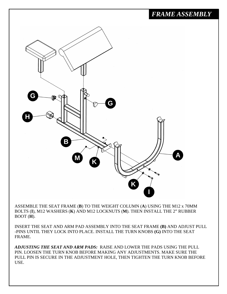

ASSEMBLE THE SEAT FRAME (**B**) TO THE WEIGHT COLUMN (**A**) USING THE M12 x 70MM BOLTS (**I**), M12 WASHERS (**K**) AND M12 LOCKNUTS (**M**). THEN INSTALL THE 2" RUBBER BOOT (**H**).

INSERT THE SEAT AND ARM PAD ASSEMBLY INTO THE SEAT FRAME **(B)** AND ADJUST PULL -PINS UNTIL THEY LOCK INTO PLACE. INSTALL THE TURN KNOBS **(G)** INTO THE SEAT FRAME.

*ADJUSTING THE SEAT AND ARM PADS:* RAISE AND LOWER THE PADS USING THE PULL PIN. LOOSEN THE TURN KNOB BEFORE MAKING ANY ADJUSTMENTS. MAKE SURE THE PULL PIN IS SECURE IN THE ADJUSTMENT HOLE, THEN TIGHTEN THE TURN KNOB BEFORE USE.